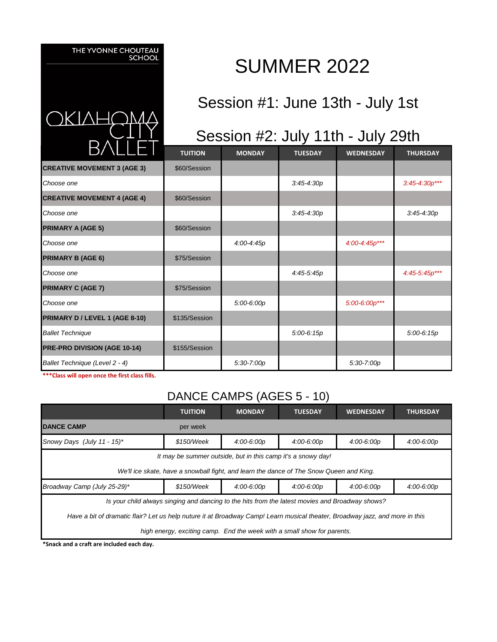

THE YVONNE CHOUTEAU

**SCHOOL** 

## SUMMER 2022

## Session #1: June 13th - July 1st

## Session #2: July 11th - July 29th

| B/\LLET                            | <b>TUITION</b> | <b>MONDAY</b> | <b>TUESDAY</b> | <b>WEDNESDAY</b> | <b>THURSDAY</b>   |
|------------------------------------|----------------|---------------|----------------|------------------|-------------------|
| <b>CREATIVE MOVEMENT 3 (AGE 3)</b> | \$60/Session   |               |                |                  |                   |
| Choose one                         |                |               | $3:45-4:30p$   |                  | $3:45 - 4:30p***$ |
| <b>CREATIVE MOVEMENT 4 (AGE 4)</b> | \$60/Session   |               |                |                  |                   |
| Choose one                         |                |               | $3:45-4:30p$   |                  | $3:45-4:30p$      |
| <b>PRIMARY A (AGE 5)</b>           | \$60/Session   |               |                |                  |                   |
| Choose one                         |                | 4:00-4:45p    |                | 4:00-4:45p***    |                   |
| <b>PRIMARY B (AGE 6)</b>           | \$75/Session   |               |                |                  |                   |
| Choose one                         |                |               | 4.45-5.45p     |                  | 4:45-5:45p***     |
| <b>PRIMARY C (AGE 7)</b>           | \$75/Session   |               |                |                  |                   |
| Choose one                         |                | 5:00-6:00p    |                | 5:00-6:00p***    |                   |
| PRIMARY D / LEVEL 1 (AGE 8-10)     | \$135/Session  |               |                |                  |                   |
| <b>Ballet Technique</b>            |                |               | 5:00-6:15p     |                  | 5:00-6:15p        |
| PRE-PRO DIVISION (AGE 10-14)       | \$155/Session  |               |                |                  |                   |
| Ballet Technique (Level 2 - 4)     |                | 5:30-7:00p    |                | 5:30-7:00p       |                   |

**\*\*\*Class will open once the first class fills.**

### DANCE CAMPS (AGES 5 - 10)

|                                                                                                                              | <b>TUITION</b> | <b>MONDAY</b> | <b>TUESDAY</b> | <b>WEDNESDAY</b> | <b>THURSDAY</b> |  |  |
|------------------------------------------------------------------------------------------------------------------------------|----------------|---------------|----------------|------------------|-----------------|--|--|
| <b>DANCE CAMP</b>                                                                                                            | per week       |               |                |                  |                 |  |  |
| Snowy Days (July 11 - 15)*                                                                                                   | \$150/Week     | 4:00-6:00p    | 4:00-6:00p     | 4:00-6:00p       | 4.00-6.00p      |  |  |
| It may be summer outside, but in this camp it's a snowy day!                                                                 |                |               |                |                  |                 |  |  |
| We'll ice skate, have a snowball fight, and learn the dance of The Snow Queen and King.                                      |                |               |                |                  |                 |  |  |
| Broadway Camp (July 25-29)*                                                                                                  | \$150/Week     | 4:00-6:00p    | 4:00-6:00p     | 4:00-6:00p       | 4.00-6.00p      |  |  |
| Is your child always singing and dancing to the hits from the latest movies and Broadway shows?                              |                |               |                |                  |                 |  |  |
| Have a bit of dramatic flair? Let us help nuture it at Broadway Camp! Learn musical theater, Broadway jazz, and more in this |                |               |                |                  |                 |  |  |
| high energy, exciting camp. End the week with a small show for parents.                                                      |                |               |                |                  |                 |  |  |

**\*Snack and a craft are included each day.**